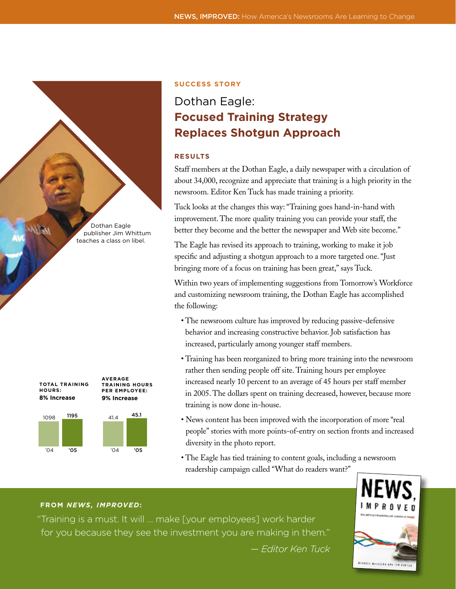Dothan Eagle publisher Jim Whittum teaches a class on libel.



# **Success Story**

# Dothan Eagle: **Focused Training Strategy Replaces Shotgun Approach**

# **RESULTS**

Staff members at the Dothan Eagle, a daily newspaper with a circulation of about 34,000, recognize and appreciate that training is a high priority in the newsroom. Editor Ken Tuck has made training a priority.

Tuck looks at the changes this way: "Training goes hand-in-hand with improvement. The more quality training you can provide your staff, the better they become and the better the newspaper and Web site become."

The Eagle has revised its approach to training, working to make it job specific and adjusting a shotgun approach to a more targeted one. "Just bringing more of a focus on training has been great," says Tuck.

Within two years of implementing suggestions from Tomorrow's Workforce and customizing newsroom training, the Dothan Eagle has accomplished the following:

- The newsroom culture has improved by reducing passive-defensive behavior and increasing constructive behavior. Job satisfaction has increased, particularly among younger staff members.
- Training has been reorganized to bring more training into the newsroom rather then sending people off site. Training hours per employee increased nearly 10 percent to an average of 45 hours per staff member in 2005. The dollars spent on training decreased, however, because more training is now done in-house.
- News content has been improved with the incorporation of more "real people" stories with more points-of-entry on section fronts and increased diversity in the photo report.
- The Eagle has tied training to content goals, including a newsroom readership campaign called "What do readers want?"

# **FROM** *NEWS, IMPROVED***:**

"Training is a must. It will … make [your employees] work harder for you because they see the investment you are making in them." *— Editor Ken Tuck*

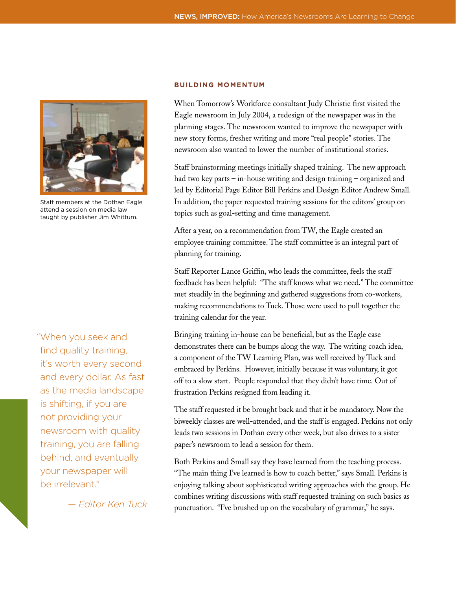

Staff members at the Dothan Eagle attend a session on media law taught by publisher Jim Whittum.

"When you seek and find quality training, it's worth every second and every dollar. As fast as the media landscape is shifting, if you are not providing your newsroom with quality training, you are falling behind, and eventually your newspaper will be irrelevant."

*— Editor Ken Tuck*

#### **Building Momentum**

When Tomorrow's Workforce consultant Judy Christie first visited the Eagle newsroom in July 2004, a redesign of the newspaper was in the planning stages. The newsroom wanted to improve the newspaper with new story forms, fresher writing and more "real people" stories. The newsroom also wanted to lower the number of institutional stories.

Staff brainstorming meetings initially shaped training. The new approach had two key parts – in-house writing and design training – organized and led by Editorial Page Editor Bill Perkins and Design Editor Andrew Small. In addition, the paper requested training sessions for the editors' group on topics such as goal-setting and time management.

After a year, on a recommendation from TW, the Eagle created an employee training committee. The staff committee is an integral part of planning for training.

Staff Reporter Lance Griffin, who leads the committee, feels the staff feedback has been helpful: "The staff knows what we need." The committee met steadily in the beginning and gathered suggestions from co-workers, making recommendations to Tuck. Those were used to pull together the training calendar for the year.

Bringing training in-house can be beneficial, but as the Eagle case demonstrates there can be bumps along the way. The writing coach idea, a component of the TW Learning Plan, was well received by Tuck and embraced by Perkins. However, initially because it was voluntary, it got off to a slow start. People responded that they didn't have time. Out of frustration Perkins resigned from leading it.

The staff requested it be brought back and that it be mandatory. Now the biweekly classes are well-attended, and the staff is engaged. Perkins not only leads two sessions in Dothan every other week, but also drives to a sister paper's newsroom to lead a session for them.

Both Perkins and Small say they have learned from the teaching process. "The main thing I've learned is how to coach better," says Small. Perkins is enjoying talking about sophisticated writing approaches with the group. He combines writing discussions with staff requested training on such basics as punctuation. "I've brushed up on the vocabulary of grammar," he says.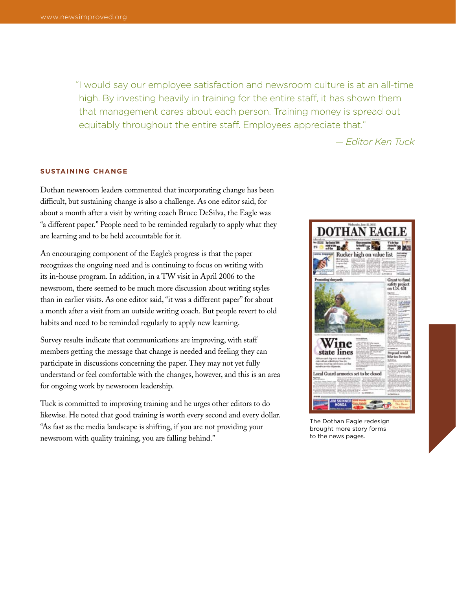"I would say our employee satisfaction and newsroom culture is at an all-time high. By investing heavily in training for the entire staff, it has shown them that management cares about each person. Training money is spread out equitably throughout the entire staff. Employees appreciate that."

*— Editor Ken Tuck*

# **Sustaining Change**

Dothan newsroom leaders commented that incorporating change has been difficult, but sustaining change is also a challenge. As one editor said, for about a month after a visit by writing coach Bruce DeSilva, the Eagle was "a different paper." People need to be reminded regularly to apply what they are learning and to be held accountable for it.

An encouraging component of the Eagle's progress is that the paper recognizes the ongoing need and is continuing to focus on writing with its in-house program. In addition, in a TW visit in April 2006 to the newsroom, there seemed to be much more discussion about writing styles than in earlier visits. As one editor said, "it was a different paper" for about a month after a visit from an outside writing coach. But people revert to old habits and need to be reminded regularly to apply new learning.

Survey results indicate that communications are improving, with staff members getting the message that change is needed and feeling they can participate in discussions concerning the paper. They may not yet fully understand or feel comfortable with the changes, however, and this is an area for ongoing work by newsroom leadership.

Tuck is committed to improving training and he urges other editors to do likewise. He noted that good training is worth every second and every dollar. "As fast as the media landscape is shifting, if you are not providing your newsroom with quality training, you are falling behind."



The Dothan Eagle redesign brought more story forms to the news pages.